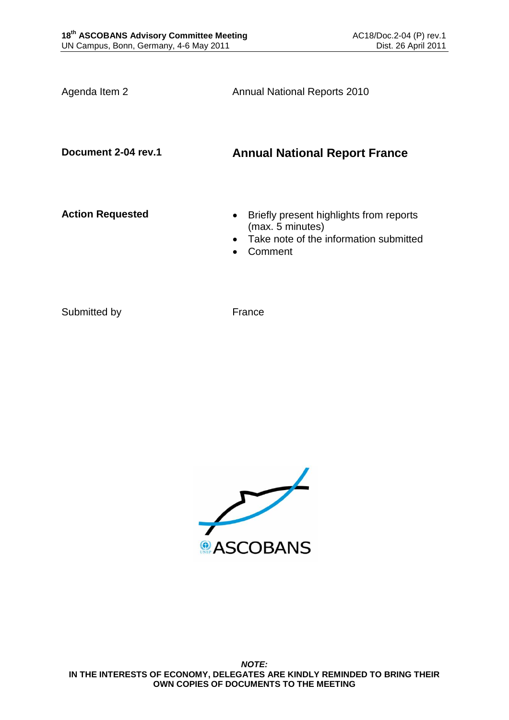Agenda Item 2 **Annual National Reports 2010** 

# **Document 2-04 rev.1 Annual National Report France**

- **Action Requested Briefly present highlights from reports** (max. 5 minutes)
	- Take note of the information submitted
	- Comment

Submitted by France

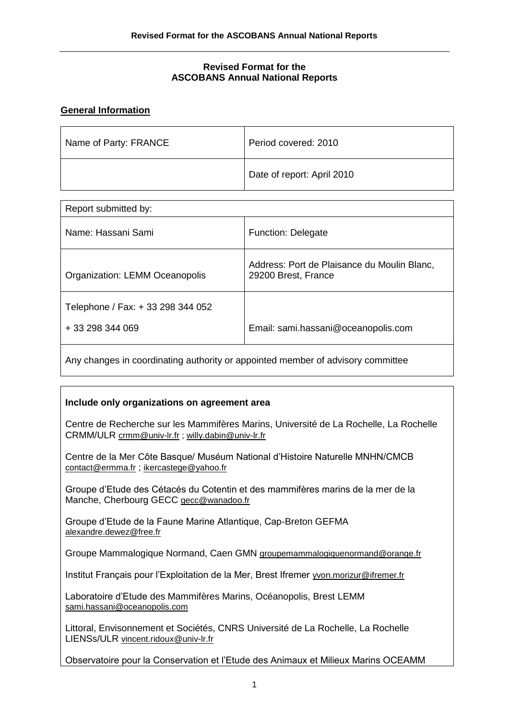#### **Revised Format for the ASCOBANS Annual National Reports**

### **General Information**

| Name of Party: FRANCE | Period covered: 2010       |
|-----------------------|----------------------------|
|                       | Date of report: April 2010 |

| Report submitted by:                                  |                                                                    |
|-------------------------------------------------------|--------------------------------------------------------------------|
| Name: Hassani Sami                                    | <b>Function: Delegate</b>                                          |
| Organization: LEMM Oceanopolis                        | Address: Port de Plaisance du Moulin Blanc,<br>29200 Brest, France |
| Telephone / Fax: + 33 298 344 052<br>+ 33 298 344 069 | Email: sami.hassani@oceanopolis.com                                |

Any changes in coordinating authority or appointed member of advisory committee

#### **Include only organizations on agreement area**

Centre de Recherche sur les Mammifères Marins, Université de La Rochelle, La Rochelle CRMM/ULR [crmm@univ-lr.fr](mailto:crmm@univ-lr.fr) ; [willy.dabin@univ-lr.fr](mailto:willy.dabin@univ-lr.fr)

Centre de la Mer Côte Basque/ Muséum National d'Histoire Naturelle MNHN/CMCB [contact@ermma.fr](mailto:contact@ermma.fr) ; [ikercastege@yahoo.fr](mailto:ikercastege@yahoo.fr)

Groupe d'Etude des Cétacés du Cotentin et des mammifères marins de la mer de la Manche, Cherbourg GECC [gecc@wanadoo.fr](mailto:gecc@wanadoo.fr)

Groupe d'Etude de la Faune Marine Atlantique, Cap-Breton GEFMA [alexandre.dewez@free.fr](mailto:alexandre.dewez@free.fr)

Groupe Mammalogique Normand, Caen GMN [groupemammalogiquenormand@orange.fr](mailto:groupemammalogiquenormand@orange.fr)

Institut Français pour l'Exploitation de la Mer, Brest Ifremer [yvon.morizur@ifremer.fr](mailto:yvon.morizur@ifremer.fr)

Laboratoire d'Etude des Mammifères Marins, Océanopolis, Brest LEMM [sami.hassani@oceanopolis.com](mailto:sami.hassani@oceanopolis.com)

Littoral, Envisonnement et Sociétés, CNRS Université de La Rochelle, La Rochelle LIENSs/ULR [vincent.ridoux@univ-lr.fr](mailto:vincent.ridoux@univ-lr.fr)

Observatoire pour la Conservation et l'Etude des Animaux et Milieux Marins OCEAMM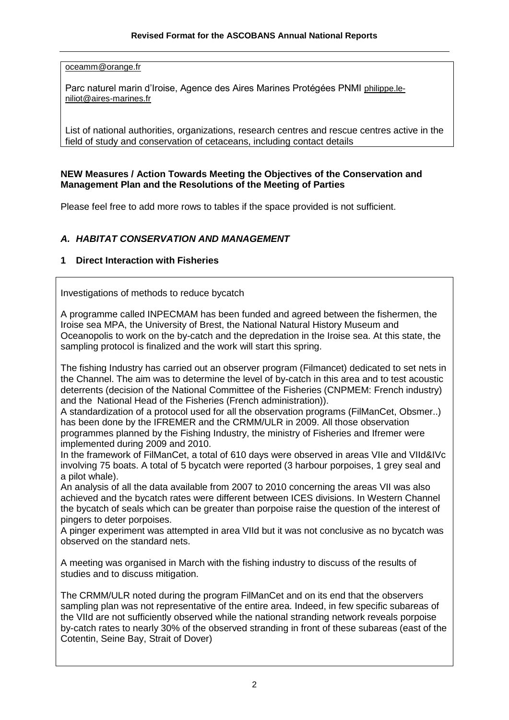[oceamm@orange.fr](mailto:oceamm@orange.fr)

Parc naturel marin d'Iroise, Agence des Aires Marines Protégées PNMI [philippe.le](mailto:philippe.le-niliot@aires-marines.fr)[niliot@aires-marines.fr](mailto:philippe.le-niliot@aires-marines.fr)

List of national authorities, organizations, research centres and rescue centres active in the field of study and conservation of cetaceans, including contact details

#### **NEW Measures / Action Towards Meeting the Objectives of the Conservation and Management Plan and the Resolutions of the Meeting of Parties**

Please feel free to add more rows to tables if the space provided is not sufficient.

## *A. HABITAT CONSERVATION AND MANAGEMENT*

### **1 Direct Interaction with Fisheries**

Investigations of methods to reduce bycatch

A programme called INPECMAM has been funded and agreed between the fishermen, the Iroise sea MPA, the University of Brest, the National Natural History Museum and Oceanopolis to work on the by-catch and the depredation in the Iroise sea. At this state, the sampling protocol is finalized and the work will start this spring.

The fishing Industry has carried out an observer program (Filmancet) dedicated to set nets in the Channel. The aim was to determine the level of by-catch in this area and to test acoustic deterrents (decision of the National Committee of the Fisheries (CNPMEM: French industry) and the National Head of the Fisheries (French administration)).

A standardization of a protocol used for all the observation programs (FilManCet, Obsmer..) has been done by the IFREMER and the CRMM/ULR in 2009. All those observation programmes planned by the Fishing Industry, the ministry of Fisheries and Ifremer were implemented during 2009 and 2010.

In the framework of FilManCet, a total of 610 days were observed in areas VIIe and VIId&IVc involving 75 boats. A total of 5 bycatch were reported (3 harbour porpoises, 1 grey seal and a pilot whale).

An analysis of all the data available from 2007 to 2010 concerning the areas VII was also achieved and the bycatch rates were different between ICES divisions. In Western Channel the bycatch of seals which can be greater than porpoise raise the question of the interest of pingers to deter porpoises.

A pinger experiment was attempted in area VIId but it was not conclusive as no bycatch was observed on the standard nets.

A meeting was organised in March with the fishing industry to discuss of the results of studies and to discuss mitigation.

The CRMM/ULR noted during the program FilManCet and on its end that the observers sampling plan was not representative of the entire area. Indeed, in few specific subareas of the VIId are not sufficiently observed while the national stranding network reveals porpoise by-catch rates to nearly 30% of the observed stranding in front of these subareas (east of the Cotentin, Seine Bay, Strait of Dover)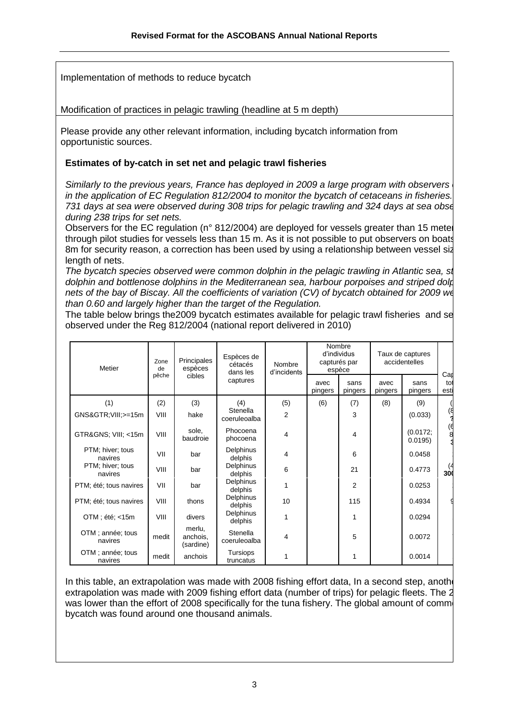Implementation of methods to reduce bycatch

Modification of practices in pelagic trawling (headline at 5 m depth)

Please provide any other relevant information, including bycatch information from opportunistic sources.

### **Estimates of by-catch in set net and pelagic trawl fisheries**

*Similarly to the previous years, France has deployed in 2009 a large program with observers in the application of EC Regulation 812/2004 to monitor the bycatch of cetaceans in fisheries. 731 days at sea were observed during 308 trips for pelagic trawling and 324 days at sea observed during 238 trips for set nets.*

Observers for the EC regulation ( $n^{\circ}$  812/2004) are deployed for vessels greater than 15 meters through pilot studies for vessels less than 15 m. As it is not possible to put observers on boats 8m for security reason, a correction has been used by using a relationship between vessel size length of nets.

*The bycatch species observed were common dolphin in the pelagic trawling in Atlantic sea, striped dolphin and bottlenose dolphins in the Mediterranean sea, harbour porpoises and striped dolphins in set nets of the bay of Biscay. All the coefficients of variation (CV) of bycatch obtained for 2009 were higher at all the coefficients of the higher at all neutralism than 0.60 and largely higher than the target of the Regulation.*

The table below brings the 2009 by catch estimates available for pelagic trawl fisheries and set net observed under the Reg 812/2004 (national report delivered in 2010)

| Principales<br>Zone<br>Metier<br>espèces<br>de |       | Espèces de<br>Nombre<br>cétacés<br>dans les<br>d'incidents | Nombre<br>d'individus<br>capturés par<br>espèce |     | Taux de captures<br>accidentelles |                 | Car             |                     |             |
|------------------------------------------------|-------|------------------------------------------------------------|-------------------------------------------------|-----|-----------------------------------|-----------------|-----------------|---------------------|-------------|
|                                                | pêche | cibles                                                     | captures                                        |     | avec<br>pingers                   | sans<br>pingers | avec<br>pingers | sans<br>pingers     | tot<br>esti |
| (1)                                            | (2)   | (3)                                                        | (4)                                             | (5) | (6)                               | (7)             | (8)             | (9)                 |             |
| GNS&GTR VIII; >=15m                            | VIII  | hake                                                       | Stenella<br>coeruleoalba                        | 2   |                                   | 3               |                 | (0.033)             | ۱ď          |
| GTR&GNS VIII; <15m                             | VIII  | sole,<br>baudroie                                          | Phocoena<br>phocoena                            | 4   |                                   | 4               |                 | (0.0172;<br>0.0195) | 6)<br>8     |
| PTM; hiver; tous<br>navires                    | VII   | bar                                                        | Delphinus<br>delphis                            | 4   |                                   | 6               |                 | 0.0458              |             |
| PTM; hiver; tous<br>navires                    | VIII  | bar                                                        | Delphinus<br>delphis                            | 6   |                                   | 21              |                 | 0.4773              | 300         |
| PTM; été; tous navires                         | VII   | bar                                                        | Delphinus<br>delphis                            | 1   |                                   | $\overline{2}$  |                 | 0.0253              |             |
| PTM; été; tous navires                         | VIII  | thons                                                      | Delphinus<br>delphis                            | 10  |                                   | 115             |                 | 0.4934              |             |
| OTM; été; <15m                                 | VIII  | divers                                                     | <b>Delphinus</b><br>delphis                     | 1   |                                   | 1               |                 | 0.0294              |             |
| OTM; année; tous<br>navires                    | medit | merlu,<br>anchois,<br>(sardine)                            | Stenella<br>coeruleoalba                        | 4   |                                   | 5               |                 | 0.0072              |             |
| OTM; année; tous<br>navires                    | medit | anchois                                                    | Tursiops<br>truncatus                           | 1   |                                   | 1               |                 | 0.0014              |             |

In this table, an extrapolation was made with 2008 fishing effort data, In a second step, another extrapolation was made with 2009 fishing effort data (number of trips) for pelagic fleets. The 2 was lower than the effort of 2008 specifically for the tuna fishery. The global amount of common bycatch was found around one thousand animals.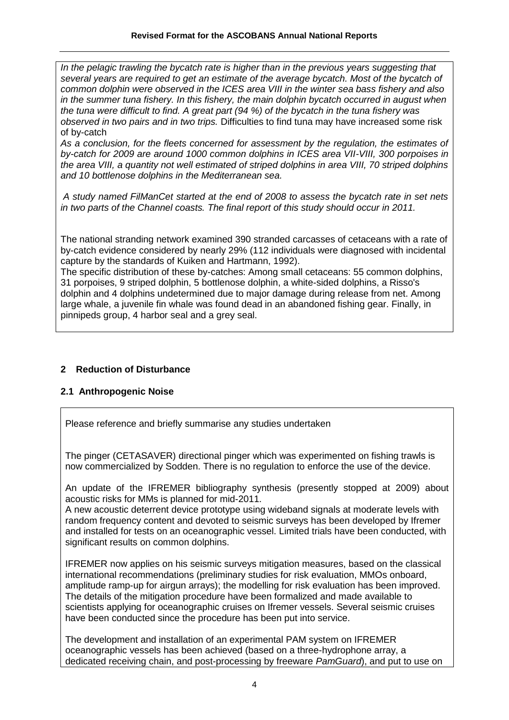*In the pelagic trawling the bycatch rate is higher than in the previous years suggesting that several years are required to get an estimate of the average bycatch. Most of the bycatch of common dolphin were observed in the ICES area VIII in the winter sea bass fishery and also in the summer tuna fishery. In this fishery, the main dolphin bycatch occurred in august when the tuna were difficult to find. A great part (94 %) of the bycatch in the tuna fishery was observed in two pairs and in two trips.* Difficulties to find tuna may have increased some risk of by-catch

*As a conclusion, for the fleets concerned for assessment by the regulation, the estimates of by-catch for 2009 are around 1000 common dolphins in ICES area VII-VIII, 300 porpoises in the area VIII, a quantity not well estimated of striped dolphins in area VIII, 70 striped dolphins and 10 bottlenose dolphins in the Mediterranean sea.* 

*A study named FilManCet started at the end of 2008 to assess the bycatch rate in set nets in two parts of the Channel coasts. The final report of this study should occur in 2011.*

The national stranding network examined 390 stranded carcasses of cetaceans with a rate of by-catch evidence considered by nearly 29% (112 individuals were diagnosed with incidental capture by the standards of Kuiken and Hartmann, 1992).

The specific distribution of these by-catches: Among small cetaceans: 55 common dolphins, 31 porpoises, 9 striped dolphin, 5 bottlenose dolphin, a white-sided dolphins, a Risso's dolphin and 4 dolphins undetermined due to major damage during release from net. Among large whale, a juvenile fin whale was found dead in an abandoned fishing gear. Finally, in pinnipeds group, 4 harbor seal and a grey seal.

### **2 Reduction of Disturbance**

### **2.1 Anthropogenic Noise**

Please reference and briefly summarise any studies undertaken

The pinger (CETASAVER) directional pinger which was experimented on fishing trawls is now commercialized by Sodden. There is no regulation to enforce the use of the device.

An update of the IFREMER bibliography synthesis (presently stopped at 2009) about acoustic risks for MMs is planned for mid-2011.

A new acoustic deterrent device prototype using wideband signals at moderate levels with random frequency content and devoted to seismic surveys has been developed by Ifremer and installed for tests on an oceanographic vessel. Limited trials have been conducted, with significant results on common dolphins.

IFREMER now applies on his seismic surveys mitigation measures, based on the classical international recommendations (preliminary studies for risk evaluation, MMOs onboard, amplitude ramp-up for airgun arrays); the modelling for risk evaluation has been improved. The details of the mitigation procedure have been formalized and made available to scientists applying for oceanographic cruises on Ifremer vessels. Several seismic cruises have been conducted since the procedure has been put into service.

The development and installation of an experimental PAM system on IFREMER oceanographic vessels has been achieved (based on a three-hydrophone array, a dedicated receiving chain, and post-processing by freeware *PamGuard*), and put to use on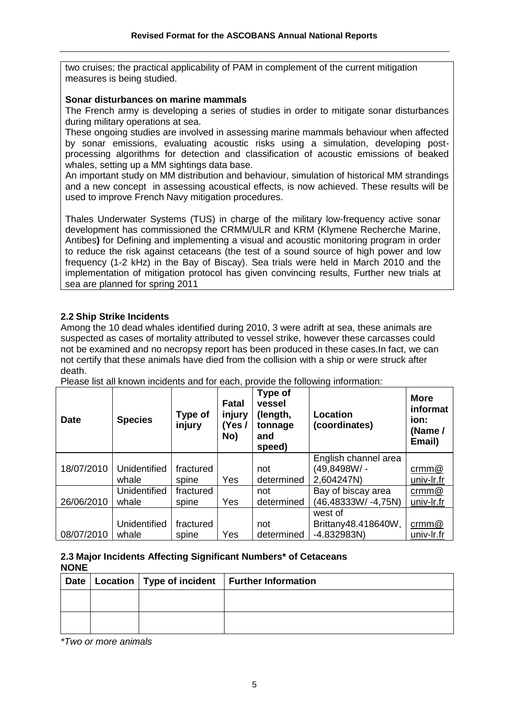two cruises; the practical applicability of PAM in complement of the current mitigation measures is being studied.

#### **Sonar disturbances on marine mammals**

The French army is developing a series of studies in order to mitigate sonar disturbances during military operations at sea.

These ongoing studies are involved in assessing marine mammals behaviour when affected by sonar emissions, evaluating acoustic risks using a simulation, developing postprocessing algorithms for detection and classification of acoustic emissions of beaked whales, setting up a MM sightings data base.

An important study on MM distribution and behaviour, simulation of historical MM strandings and a new concept in assessing acoustical effects, is now achieved. These results will be used to improve French Navy mitigation procedures.

Thales Underwater Systems (TUS) in charge of the military low-frequency active sonar development has commissioned the CRMM/ULR and KRM (Klymene Recherche Marine, Antibes**)** for Defining and implementing a visual and acoustic monitoring program in order to reduce the risk against cetaceans (the test of a sound source of high power and low frequency (1-2 kHz) in the Bay of Biscay). Sea trials were held in March 2010 and the implementation of mitigation protocol has given convincing results, Further new trials at sea are planned for spring 2011

#### **2.2 Ship Strike Incidents**

Among the 10 dead whales identified during 2010, 3 were adrift at sea, these animals are suspected as cases of mortality attributed to vessel strike, however these carcasses could not be examined and no necropsy report has been produced in these cases.In fact, we can not certify that these animals have died from the collision with a ship or were struck after death.

| <b>Date</b> | <b>Species</b>      | Type of<br>injury | <b>Fatal</b><br>injury<br>(Yes/<br>No) | Type of<br>vessel<br>(length,<br>tonnage<br>and<br>speed) | <b>Location</b><br>(coordinates) | <b>More</b><br>informat<br>ion:<br>(Name /<br>Email) |
|-------------|---------------------|-------------------|----------------------------------------|-----------------------------------------------------------|----------------------------------|------------------------------------------------------|
|             |                     |                   |                                        |                                                           | English channel area             |                                                      |
| 18/07/2010  | Unidentified        | fractured         |                                        | not                                                       | (49,8498W/ -                     | $\text{crmm@}$                                       |
|             | whale               | spine             | Yes                                    | determined                                                | 2,604247N)                       | univ-Ir.fr                                           |
|             | <b>Unidentified</b> | fractured         |                                        | not                                                       | Bay of biscay area               | $\text{crmm@}$                                       |
| 26/06/2010  | whale               | spine             | Yes                                    | determined                                                | (46,48333W/-4,75N)               | univ-lr.fr                                           |
|             |                     |                   |                                        |                                                           | west of                          |                                                      |
|             | <b>Unidentified</b> | fractured         |                                        | not                                                       | Brittany48.418640W,              | $\text{crmm@}$                                       |
| 08/07/2010  | whale               | spine             | Yes                                    | determined                                                | $-4.832983N$                     | univ-lr.fr                                           |

Please list all known incidents and for each, provide the following information:

#### **2.3 Major Incidents Affecting Significant Numbers\* of Cetaceans NONE**

|  | Date   Location   Type of incident   Further Information |
|--|----------------------------------------------------------|
|  |                                                          |
|  |                                                          |

*\*Two or more animals*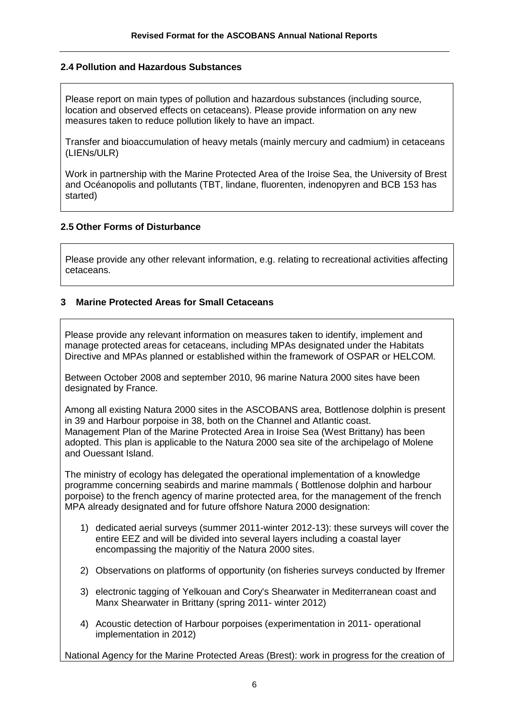#### **2.4 Pollution and Hazardous Substances**

Please report on main types of pollution and hazardous substances (including source, location and observed effects on cetaceans). Please provide information on any new measures taken to reduce pollution likely to have an impact.

Transfer and bioaccumulation of heavy metals (mainly mercury and cadmium) in cetaceans (LIENs/ULR)

Work in partnership with the Marine Protected Area of the Iroise Sea, the University of Brest and Océanopolis and pollutants (TBT, lindane, fluorenten, indenopyren and BCB 153 has started)

#### **2.5 Other Forms of Disturbance**

Please provide any other relevant information, e.g. relating to recreational activities affecting cetaceans.

#### **3 Marine Protected Areas for Small Cetaceans**

Please provide any relevant information on measures taken to identify, implement and manage protected areas for cetaceans, including MPAs designated under the Habitats Directive and MPAs planned or established within the framework of OSPAR or HELCOM.

Between October 2008 and september 2010, 96 marine Natura 2000 sites have been designated by France.

Among all existing Natura 2000 sites in the ASCOBANS area, Bottlenose dolphin is present in 39 and Harbour porpoise in 38, both on the Channel and Atlantic coast. Management Plan of the Marine Protected Area in Iroise Sea (West Brittany) has been adopted. This plan is applicable to the Natura 2000 sea site of the archipelago of Molene and Ouessant Island.

The ministry of ecology has delegated the operational implementation of a knowledge programme concerning seabirds and marine mammals ( Bottlenose dolphin and harbour porpoise) to the french agency of marine protected area, for the management of the french MPA already designated and for future offshore Natura 2000 designation:

- 1) dedicated aerial surveys (summer 2011-winter 2012-13): these surveys will cover the entire EEZ and will be divided into several layers including a coastal layer encompassing the majoritiy of the Natura 2000 sites.
- 2) Observations on platforms of opportunity (on fisheries surveys conducted by Ifremer
- 3) electronic tagging of Yelkouan and Cory's Shearwater in Mediterranean coast and Manx Shearwater in Brittany (spring 2011- winter 2012)
- 4) Acoustic detection of Harbour porpoises (experimentation in 2011- operational implementation in 2012)

National Agency for the Marine Protected Areas (Brest): work in progress for the creation of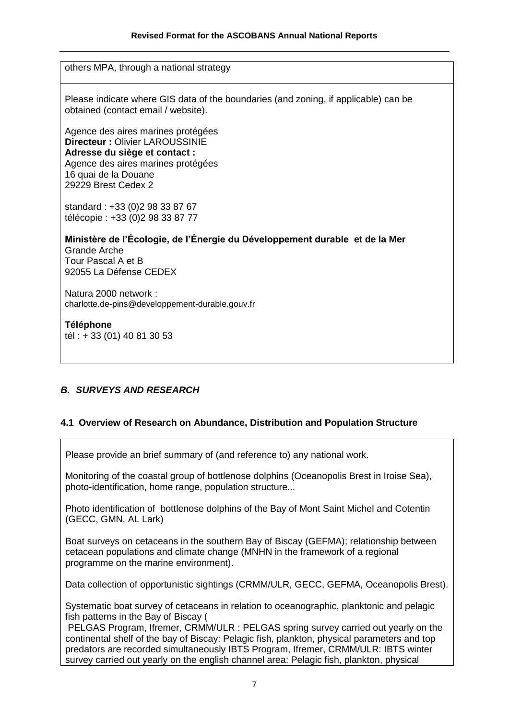others MPA, through a national strategy

Please indicate where GIS data of the boundaries (and zoning, if applicable) can be obtained (contact email / website).

Agence des aires marines protégées **Directeur :** Olivier LAROUSSINIE **Adresse du siège et contact :** Agence des aires marines protégées 16 quai de la Douane 29229 Brest Cedex 2

standard : +33 (0)2 98 33 87 67 télécopie : +33 (0)2 98 33 87 77

**Ministère de l'Écologie, de l'Énergie du Développement durable et de la Mer** Grande Arche Tour Pascal A et B 92055 La Défense CEDEX

Natura 2000 network : [charlotte.de-pins@developpement-durable.gouv.fr](mailto:charlotte.de-pins@developpement-durable.gouv.fr)

**Téléphone** tél : + 33 (01) 40 81 30 53

### *B. SURVEYS AND RESEARCH*

#### **4.1 Overview of Research on Abundance, Distribution and Population Structure**

Please provide an brief summary of (and reference to) any national work.

Monitoring of the coastal group of bottlenose dolphins (Oceanopolis Brest in Iroise Sea), photo-identification, home range, population structure...

Photo identification of bottlenose dolphins of the Bay of Mont Saint Michel and Cotentin (GECC, GMN, AL Lark)

Boat surveys on cetaceans in the southern Bay of Biscay (GEFMA); relationship between cetacean populations and climate change (MNHN in the framework of a regional programme on the marine environment).

Data collection of opportunistic sightings (CRMM/ULR, GECC, GEFMA, Oceanopolis Brest).

Systematic boat survey of cetaceans in relation to oceanographic, planktonic and pelagic fish patterns in the Bay of Biscay (

PELGAS Program, Ifremer, CRMM/ULR : PELGAS spring survey carried out yearly on the continental shelf of the bay of Biscay: Pelagic fish, plankton, physical parameters and top predators are recorded simultaneously IBTS Program, Ifremer, CRMM/ULR: IBTS winter survey carried out yearly on the english channel area: Pelagic fish, plankton, physical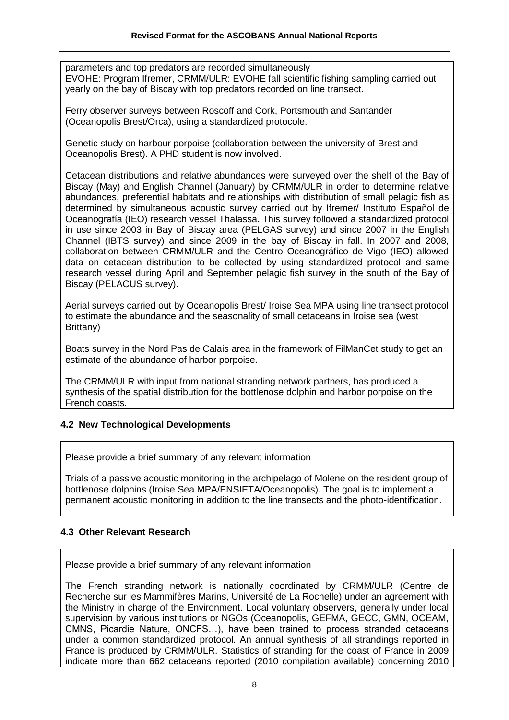parameters and top predators are recorded simultaneously EVOHE: Program Ifremer, CRMM/ULR: EVOHE fall scientific fishing sampling carried out yearly on the bay of Biscay with top predators recorded on line transect.

Ferry observer surveys between Roscoff and Cork, Portsmouth and Santander (Oceanopolis Brest/Orca), using a standardized protocole.

Genetic study on harbour porpoise (collaboration between the university of Brest and Oceanopolis Brest). A PHD student is now involved.

Cetacean distributions and relative abundances were surveyed over the shelf of the Bay of Biscay (May) and English Channel (January) by CRMM/ULR in order to determine relative abundances, preferential habitats and relationships with distribution of small pelagic fish as determined by simultaneous acoustic survey carried out by Ifremer/ Instituto Español de Oceanografía (IEO) research vessel Thalassa. This survey followed a standardized protocol in use since 2003 in Bay of Biscay area (PELGAS survey) and since 2007 in the English Channel (IBTS survey) and since 2009 in the bay of Biscay in fall. In 2007 and 2008, collaboration between CRMM/ULR and the Centro Oceanográfico de Vigo (IEO) allowed data on cetacean distribution to be collected by using standardized protocol and same research vessel during April and September pelagic fish survey in the south of the Bay of Biscay (PELACUS survey).

Aerial surveys carried out by Oceanopolis Brest/ Iroise Sea MPA using line transect protocol to estimate the abundance and the seasonality of small cetaceans in Iroise sea (west Brittany)

Boats survey in the Nord Pas de Calais area in the framework of FilManCet study to get an estimate of the abundance of harbor porpoise.

The CRMM/ULR with input from national stranding network partners, has produced a synthesis of the spatial distribution for the bottlenose dolphin and harbor porpoise on the French coasts.

### **4.2 New Technological Developments**

Please provide a brief summary of any relevant information

Trials of a passive acoustic monitoring in the archipelago of Molene on the resident group of bottlenose dolphins (Iroise Sea MPA/ENSIETA/Oceanopolis). The goal is to implement a permanent acoustic monitoring in addition to the line transects and the photo-identification.

### **4.3 Other Relevant Research**

Please provide a brief summary of any relevant information

The French stranding network is nationally coordinated by CRMM/ULR (Centre de Recherche sur les Mammifères Marins, Université de La Rochelle) under an agreement with the Ministry in charge of the Environment. Local voluntary observers, generally under local supervision by various institutions or NGOs (Oceanopolis, GEFMA, GECC, GMN, OCEAM, CMNS, Picardie Nature, ONCFS…), have been trained to process stranded cetaceans under a common standardized protocol. An annual synthesis of all strandings reported in France is produced by CRMM/ULR. Statistics of stranding for the coast of France in 2009 indicate more than 662 cetaceans reported (2010 compilation available) concerning 2010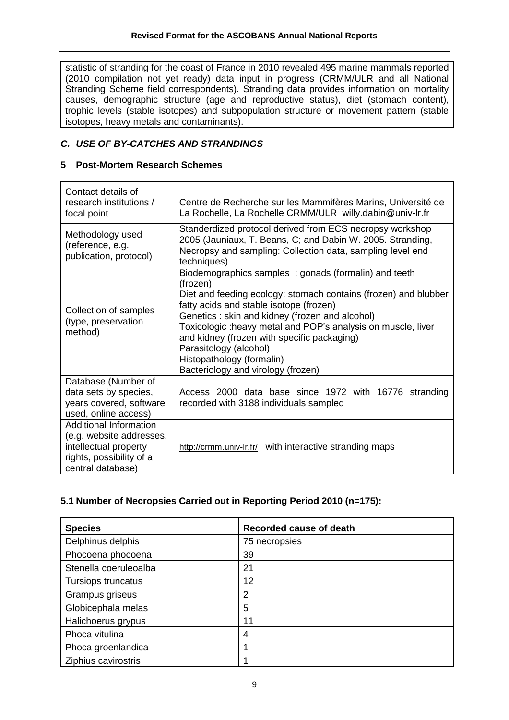statistic of stranding for the coast of France in 2010 revealed 495 marine mammals reported (2010 compilation not yet ready) data input in progress (CRMM/ULR and all National Stranding Scheme field correspondents). Stranding data provides information on mortality causes, demographic structure (age and reproductive status), diet (stomach content), trophic levels (stable isotopes) and subpopulation structure or movement pattern (stable isotopes, heavy metals and contaminants).

# *C. USE OF BY-CATCHES AND STRANDINGS*

## **5 Post-Mortem Research Schemes**

| Contact details of<br>research institutions /<br>focal point                                                                        | Centre de Recherche sur les Mammifères Marins, Université de<br>La Rochelle, La Rochelle CRMM/ULR willy.dabin@univ-lr.fr                                                                                                                                                                                                                                                                                                                      |
|-------------------------------------------------------------------------------------------------------------------------------------|-----------------------------------------------------------------------------------------------------------------------------------------------------------------------------------------------------------------------------------------------------------------------------------------------------------------------------------------------------------------------------------------------------------------------------------------------|
| Methodology used<br>(reference, e.g.<br>publication, protocol)                                                                      | Standerdized protocol derived from ECS necropsy workshop<br>2005 (Jauniaux, T. Beans, C; and Dabin W. 2005. Stranding,<br>Necropsy and sampling: Collection data, sampling level end<br>techniques)                                                                                                                                                                                                                                           |
| Collection of samples<br>(type, preservation<br>method)                                                                             | Biodemographics samples: gonads (formalin) and teeth<br>(frozen)<br>Diet and feeding ecology: stomach contains (frozen) and blubber<br>fatty acids and stable isotope (frozen)<br>Genetics: skin and kidney (frozen and alcohol)<br>Toxicologic : heavy metal and POP's analysis on muscle, liver<br>and kidney (frozen with specific packaging)<br>Parasitology (alcohol)<br>Histopathology (formalin)<br>Bacteriology and virology (frozen) |
| Database (Number of<br>data sets by species,<br>years covered, software<br>used, online access)                                     | Access 2000 data base since 1972 with 16776 stranding<br>recorded with 3188 individuals sampled                                                                                                                                                                                                                                                                                                                                               |
| <b>Additional Information</b><br>(e.g. website addresses,<br>intellectual property<br>rights, possibility of a<br>central database) | http://crmm.univ-lr.fr/ with interactive stranding maps                                                                                                                                                                                                                                                                                                                                                                                       |

## **5.1 Number of Necropsies Carried out in Reporting Period 2010 (n=175):**

| <b>Species</b>        | Recorded cause of death |
|-----------------------|-------------------------|
| Delphinus delphis     | 75 necropsies           |
| Phocoena phocoena     | 39                      |
| Stenella coeruleoalba | 21                      |
| Tursiops truncatus    | 12                      |
| Grampus griseus       | 2                       |
| Globicephala melas    | 5                       |
| Halichoerus grypus    | 11                      |
| Phoca vitulina        | 4                       |
| Phoca groenlandica    |                         |
| Ziphius cavirostris   |                         |